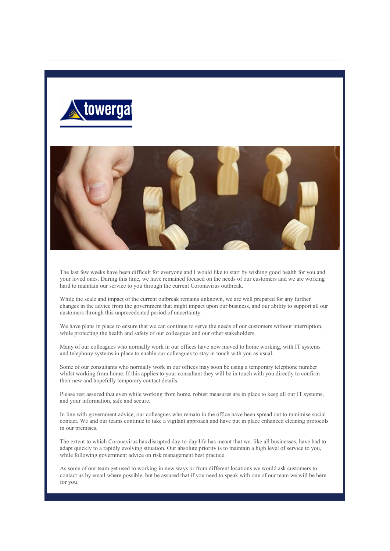



The last few weeks have been difficult for everyone and I would like to start by wishing good health for you and your loved ones. During this time, we have remained focused on the needs of our customers and we are working hard to maintain our service to you through the current Coronavirus outbreak.

While the scale and impact of the current outbreak remains unknown, we are well prepared for any further changes in the advice from the government that might impact upon our business, and our ability to support all our customers through this unprecedented period of uncertainty.

We have plans in place to ensure that we can continue to serve the needs of our customers without interruption, while protecting the health and safety of our colleagues and our other stakeholders.

Many of our colleagues who normally work in our offices have now moved to home working, with IT systems and telephony systems in place to enable our colleagues to stay in touch with you as usual.

Some of our consultants who normally work in our offices may soon be using a temporary telephone number whilst working from home. If this applies to your consultant they will be in touch with you directly to confirm their new and hopefully temporary contact details.

Please rest assured that even while working from home, robust measures are in place to keep all our IT systems, and your information, safe and secure.

In line with government advice, our colleagues who remain in the office have been spread out to minimise social contact. We and our teams continue to take a vigilant approach and have put in place enhanced cleaning protocols in our premises.

The extent to which Coronavirus has disrupted day-to-day life has meant that we, like all businesses, have had to adapt quickly to a rapidly evolving situation. Our absolute priority is to maintain a high level of service to you, while following government advice on risk management best practice.

As some of our team get used to working in new ways or from different locations we would ask customers to contact us by email where possible, but be assured that if you need to speak with one of our team we will be here for you.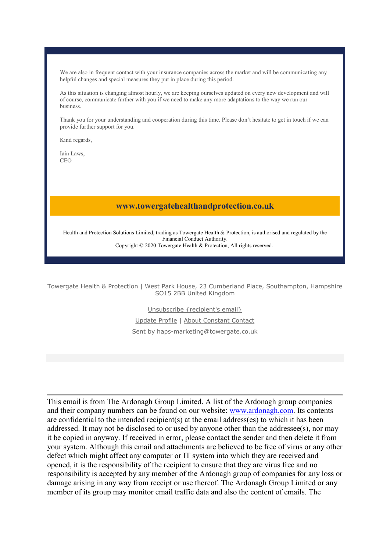We are also in frequent contact with your insurance companies across the market and will be communicating any helpful changes and special measures they put in place during this period.

As this situation is changing almost hourly, we are keeping ourselves updated on every new development and will of course, communicate further with you if we need to make any more adaptations to the way we run our business.

Thank you for your understanding and cooperation during this time. Please don't hesitate to get in touch if we can provide further support for you.

Kind regards,

Iain Laws, CEO

## www.towergatehealthandprotection.co.uk

Health and Protection Solutions Limited, trading as Towergate Health & Protection, is authorised and regulated by the Financial Conduct Authority. Copyright © 2020 Towergate Health & Protection, All rights reserved.

Towergate Health & Protection | West Park House, 23 Cumberland Place, Southampton, Hampshire SO15 2BB United Kingdom

Unsubscribe {recipient's email}

Update Profile | About Constant Contact Sent by haps-marketing@towergate.co.uk

This email is from The Ardonagh Group Limited. A list of the Ardonagh group companies and their company numbers can be found on our website: www.ardonagh.com. Its contents are confidential to the intended recipient(s) at the email address(es) to which it has been addressed. It may not be disclosed to or used by anyone other than the addressee(s), nor may it be copied in anyway. If received in error, please contact the sender and then delete it from your system. Although this email and attachments are believed to be free of virus or any other defect which might affect any computer or IT system into which they are received and opened, it is the responsibility of the recipient to ensure that they are virus free and no responsibility is accepted by any member of the Ardonagh group of companies for any loss or damage arising in any way from receipt or use thereof. The Ardonagh Group Limited or any member of its group may monitor email traffic data and also the content of emails. The